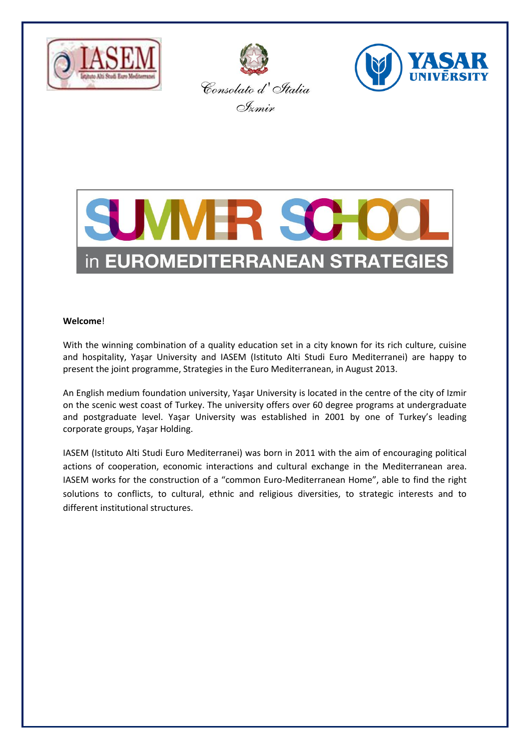







### **Welcome**!

With the winning combination of a quality education set in a city known for its rich culture, cuisine and hospitality, Yaşar University and IASEM (Istituto Alti Studi Euro Mediterranei) are happy to present the joint programme, Strategies in the Euro Mediterranean, in August 2013.

An English medium foundation university, Yaşar University is located in the centre of the city of Izmir on the scenic west coast of Turkey. The university offers over 60 degree programs at undergraduate and postgraduate level. Yaşar University was established in 2001 by one of Turkey's leading corporate groups, Yaşar Holding.

IASEM (Istituto Alti Studi Euro Mediterranei) was born in 2011 with the aim of encouraging political actions of cooperation, economic interactions and cultural exchange in the Mediterranean area. IASEM works for the construction of a "common Euro-Mediterranean Home", able to find the right solutions to conflicts, to cultural, ethnic and religious diversities, to strategic interests and to different institutional structures.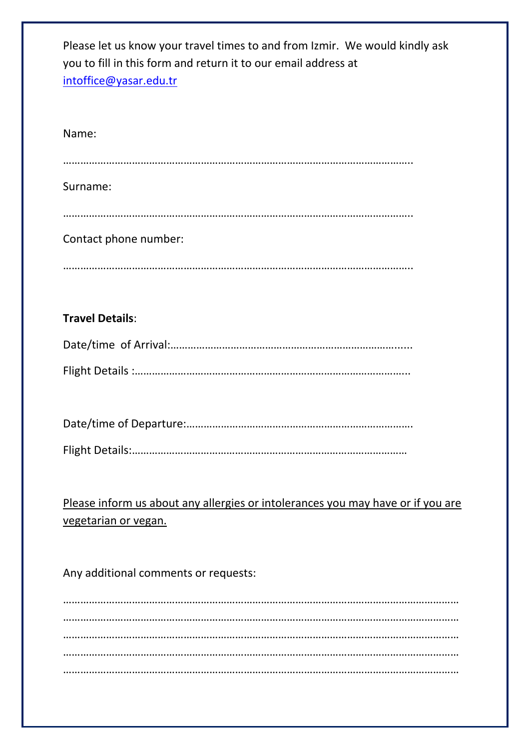| Please let us know your travel times to and from Izmir. We would kindly ask<br>you to fill in this form and return it to our email address at<br>intoffice@yasar.edu.tr |
|-------------------------------------------------------------------------------------------------------------------------------------------------------------------------|
| Name:                                                                                                                                                                   |
|                                                                                                                                                                         |
| Surname:                                                                                                                                                                |
|                                                                                                                                                                         |
| Contact phone number:                                                                                                                                                   |
|                                                                                                                                                                         |
|                                                                                                                                                                         |
| <b>Travel Details:</b>                                                                                                                                                  |
|                                                                                                                                                                         |
|                                                                                                                                                                         |
|                                                                                                                                                                         |
|                                                                                                                                                                         |
|                                                                                                                                                                         |
|                                                                                                                                                                         |
| Please inform us about any allergies or intolerances you may have or if you are<br>vegetarian or vegan.                                                                 |
|                                                                                                                                                                         |
| Any additional comments or requests:                                                                                                                                    |
|                                                                                                                                                                         |
|                                                                                                                                                                         |
|                                                                                                                                                                         |
|                                                                                                                                                                         |
|                                                                                                                                                                         |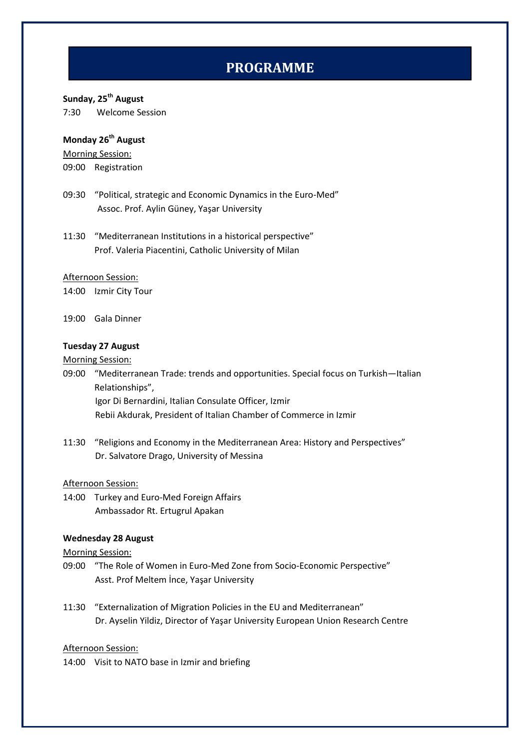# **PROGRAMME**

## **Sunday, 25th August**

7:30 Welcome Session

## **Monday 26th August**

Morning Session:

09:00 Registration

- 09:30 "Political, strategic and Economic Dynamics in the Euro-Med" Assoc. Prof. Aylin Güney, Yaşar University
- 11:30 "Mediterranean Institutions in a historical perspective" Prof. Valeria Piacentini, Catholic University of Milan

#### Afternoon Session:

14:00 Izmir City Tour

19:00 Gala Dinner

## **Tuesday 27 August**

#### Morning Session:

09:00 "Mediterranean Trade: trends and opportunities. Special focus on Turkish—Italian Relationships", Igor Di Bernardini, Italian Consulate Officer, Izmir Rebii Akdurak, President of Italian Chamber of Commerce in Izmir

11:30 "Religions and Economy in the Mediterranean Area: History and Perspectives" Dr. Salvatore Drago, University of Messina

#### Afternoon Session:

14:00 Turkey and Euro-Med Foreign Affairs Ambassador Rt. Ertugrul Apakan

#### **Wednesday 28 August**

Morning Session:

- 09:00 "The Role of Women in Euro-Med Zone from Socio-Economic Perspective" Asst. Prof Meltem İnce, Yaşar University
- 11:30 "Externalization of Migration Policies in the EU and Mediterranean" Dr. Ayselin Yildiz, Director of Yaşar University European Union Research Centre

#### Afternoon Session:

14:00 Visit to NATO base in Izmir and briefing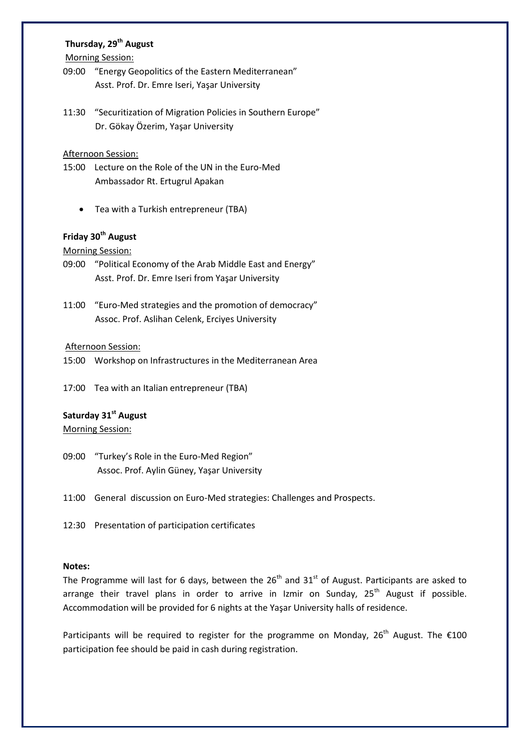## **Thursday, 29th August**

Morning Session:

- 09:00 "Energy Geopolitics of the Eastern Mediterranean" Asst. Prof. Dr. Emre Iseri, Yaşar University
- 11:30 "Securitization of Migration Policies in Southern Europe" Dr. Gökay Özerim, Yaşar University

#### Afternoon Session:

- 15:00 Lecture on the Role of the UN in the Euro-Med Ambassador Rt. Ertugrul Apakan
	- Tea with a Turkish entrepreneur (TBA)

# **Friday 30th August**

#### Morning Session:

- 09:00 "Political Economy of the Arab Middle East and Energy" Asst. Prof. Dr. Emre Iseri from Yaşar University
- 11:00 "Euro-Med strategies and the promotion of democracy" Assoc. Prof. Aslihan Celenk, Erciyes University

#### Afternoon Session:

- 15:00 Workshop on Infrastructures in the Mediterranean Area
- 17:00 Tea with an Italian entrepreneur (TBA)

## **Saturday 31st August**

#### Morning Session:

- 09:00 "Turkey's Role in the Euro-Med Region" Assoc. Prof. Aylin Güney, Yaşar University
- 11:00 General discussion on Euro-Med strategies: Challenges and Prospects.
- 12:30 Presentation of participation certificates

#### **Notes:**

The Programme will last for 6 days, between the  $26<sup>th</sup>$  and  $31<sup>st</sup>$  of August. Participants are asked to arrange their travel plans in order to arrive in Izmir on Sunday,  $25<sup>th</sup>$  August if possible. Accommodation will be provided for 6 nights at the Yaşar University halls of residence.

Participants will be required to register for the programme on Monday,  $26^{th}$  August. The  $\epsilon$ 100 participation fee should be paid in cash during registration.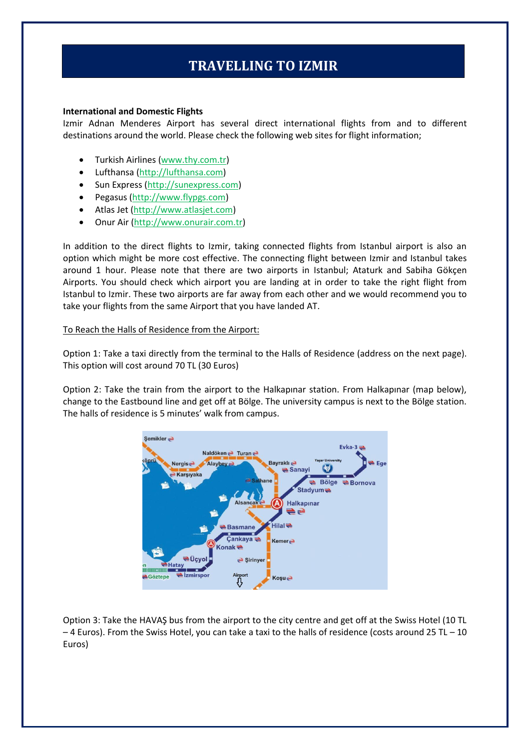# **TRAVELLING TO IZMIR**

#### **International and Domestic Flights**

Izmir Adnan Menderes Airport has several direct international flights from and to different destinations around the world. Please check the following web sites for flight information;

- Turkish Airlines [\(www.thy.com.tr\)](http://www.thy.com.tr/)
- Lufthansa (http://lufthansa.com)
- Sun Express [\(http://sunexpress.com\)](http://sunexpress.com/)
- Pegasus (http://www.flypgs.com)
- Atlas Jet [\(http://www.atlasjet.com\)](http://www.atlasjet.com/)
- Onur Air [\(http://www.onurair.com.tr\)](http://www.onurair.com.tr/)

In addition to the direct flights to Izmir, taking connected flights from Istanbul airport is also an option which might be more cost effective. The connecting flight between Izmir and Istanbul takes around 1 hour. Please note that there are two airports in Istanbul; Ataturk and Sabiha Gökçen Airports. You should check which airport you are landing at in order to take the right flight from Istanbul to Izmir. These two airports are far away from each other and we would recommend you to take your flights from the same Airport that you have landed AT.

#### To Reach the Halls of Residence from the Airport:

Option 1: Take a taxi directly from the terminal to the Halls of Residence (address on the next page). This option will cost around 70 TL (30 Euros)

Option 2: Take the train from the airport to the Halkapınar station. From Halkapınar (map below), change to the Eastbound line and get off at Bölge. The university campus is next to the Bölge station. The halls of residence is 5 minutes' walk from campus.



Option 3: Take the HAVAŞ bus from the airport to the city centre and get off at the Swiss Hotel (10 TL  $-4$  Euros). From the Swiss Hotel, you can take a taxi to the halls of residence (costs around 25 TL  $-10$ Euros)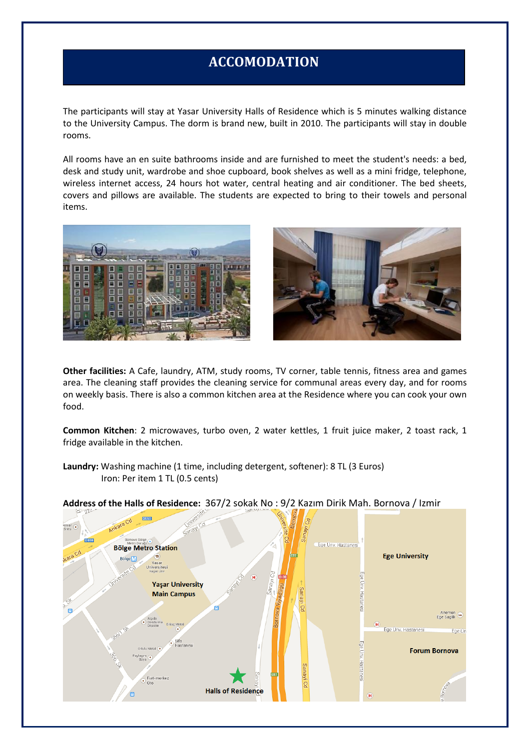# **ACCOMODATION**

The participants will stay at Yasar University Halls of Residence which is 5 minutes walking distance to the University Campus. The dorm is brand new, built in 2010. The participants will stay in double rooms.

All rooms have an en suite bathrooms inside and are furnished to meet the student's needs: a bed, desk and study unit, wardrobe and shoe cupboard, book shelves as well as a mini fridge, telephone, wireless internet access, 24 hours hot water, central heating and air conditioner. The bed sheets, covers and pillows are available. The students are expected to bring to their towels and personal items.





**Other facilities:** A Cafe, laundry, ATM, study rooms, TV corner, table tennis, fitness area and games area. The cleaning staff provides the cleaning service for communal areas every day, and for rooms on weekly basis. There is also a common kitchen area at the Residence where you can cook your own food.

**Common Kitchen**: 2 microwaves, turbo oven, 2 water kettles, 1 fruit juice maker, 2 toast rack, 1 fridge available in the kitchen.

**Laundry:** Washing machine (1 time, including detergent, softener): 8 TL (3 Euros) Iron: Per item 1 TL (0.5 cents)



**Address of the Halls of Residence:** 367/2 sokak No : 9/2 Kazım Dirik Mah. Bornova / Izmir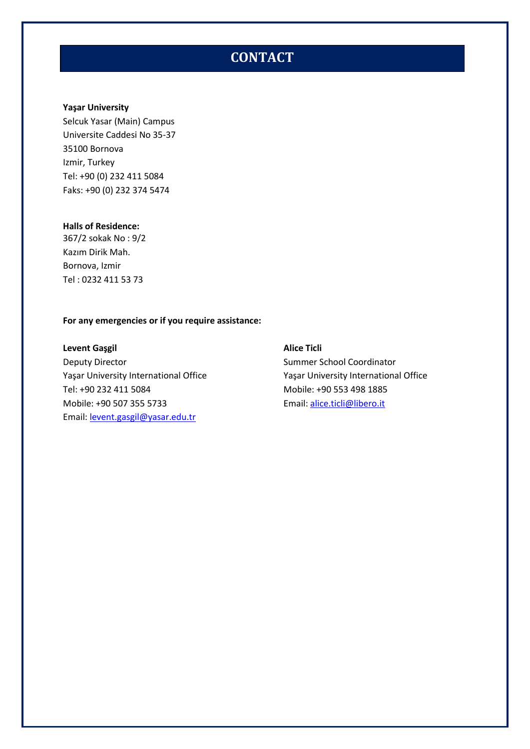# **ACCOMODATION CONTACT**

## **Yaşar University**

Selcuk Yasar (Main) Campus Universite Caddesi No 35-37 35100 Bornova Izmir, Turkey Tel: +90 (0) 232 411 5084 Faks: +90 (0) 232 374 5474

#### **Halls of Residence:**

367/2 sokak No : 9/2 Kazım Dirik Mah. Bornova, Izmir Tel : 0232 411 53 73

#### **For any emergencies or if you require assistance:**

**Levent Gaşgil Alice Ticli** Deputy Director **Summer School Coordinator** Summer School Coordinator Tel: +90 232 411 5084 Mobile: +90 553 498 1885 Mobile: +90 507 355 5733 Email[: alice.ticli@libero.it](mailto:alice.ticli@libero.it) Email: [levent.gasgil@yasar.edu.tr](mailto:levent.gasgil@yasar.edu.tr)

Yaşar University International Office Yaşar University International Office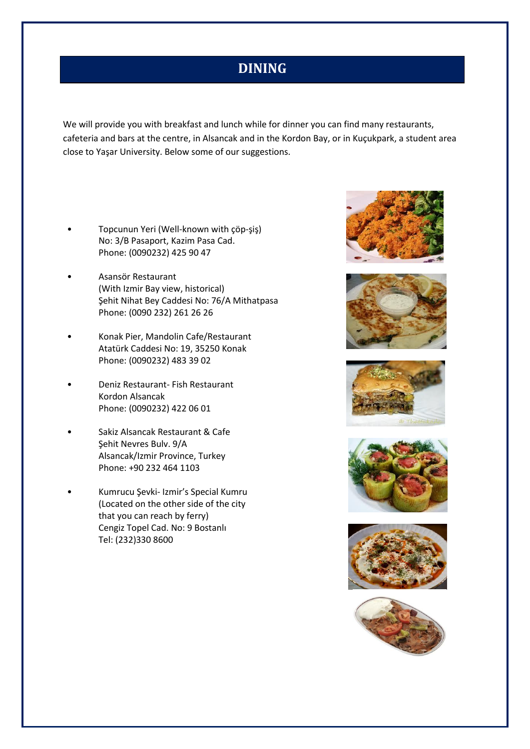# **DINING**

We will provide you with breakfast and lunch while for dinner you can find many restaurants, cafeteria and bars at the centre, in Alsancak and in the Kordon Bay, or in Kuçukpark, a student area close to Yaşar University. Below some of our suggestions.

- Topcunun Yeri (Well-known with çöp-şiş) No: 3/B Pasaport, Kazim Pasa Cad. Phone: (0090232) 425 90 47
- Asansör Restaurant (With Izmir Bay view, historical) Şehit Nihat Bey Caddesi No: 76/A Mithatpasa Phone: (0090 232) 261 26 26
- Konak Pier, Mandolin Cafe/Restaurant Atatürk Caddesi No: 19, 35250 Konak Phone: (0090232) 483 39 02
- Deniz Restaurant- Fish Restaurant Kordon Alsancak Phone: (0090232) 422 06 01
- Sakiz Alsancak Restaurant & Cafe Şehit Nevres Bulv. 9/A Alsancak/Izmir Province, Turkey Phone: +90 232 464 1103
- Kumrucu Şevki- Izmir's Special Kumru (Located on the other side of the city that you can reach by ferry) Cengiz Topel Cad. No: 9 Bostanlı Tel: (232)330 8600